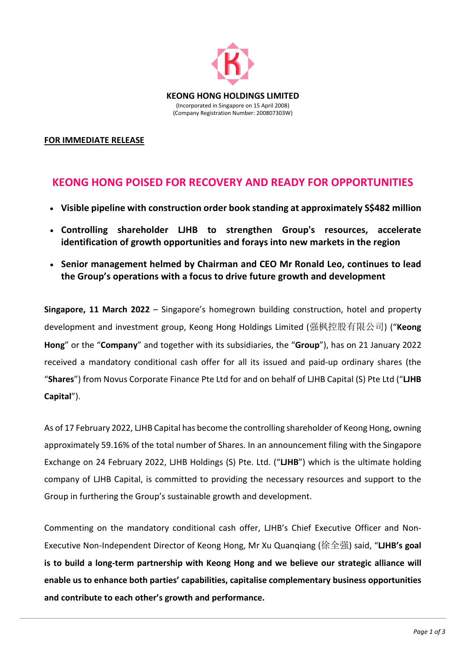

## **FOR IMMEDIATE RELEASE**

## **KEONG HONG POISED FOR RECOVERY AND READY FOR OPPORTUNITIES**

- **Visible pipeline with construction order book standing at approximately S\$482 million**
- **Controlling shareholder LJHB to strengthen Group's resources, accelerate identification of growth opportunities and forays into new markets in the region**
- **Senior management helmed by Chairman and CEO Mr Ronald Leo, continues to lead the Group's operations with a focus to drive future growth and development**

**Singapore, 11 March 2022** – Singapore's homegrown building construction, hotel and property development and investment group, Keong Hong Holdings Limited (强枫控股有限公司) ("**Keong Hong**" or the "**Company**" and together with its subsidiaries, the "**Group**"), has on 21 January 2022 received a mandatory conditional cash offer for all its issued and paid-up ordinary shares (the "**Shares**") from Novus Corporate Finance Pte Ltd for and on behalf of LJHB Capital (S) Pte Ltd ("**LJHB Capital**").

As of 17 February 2022, LJHB Capital has become the controlling shareholder of Keong Hong, owning approximately 59.16% of the total number of Shares. In an announcement filing with the Singapore Exchange on 24 February 2022, LJHB Holdings (S) Pte. Ltd. ("**LJHB**") which is the ultimate holding company of LJHB Capital, is committed to providing the necessary resources and support to the Group in furthering the Group's sustainable growth and development.

Commenting on the mandatory conditional cash offer, LJHB's Chief Executive Officer and Non-Executive Non-Independent Director of Keong Hong, Mr Xu Quanqiang (徐全强) said, "**LJHB's goal is to build a long-term partnership with Keong Hong and we believe our strategic alliance will enable us to enhance both parties' capabilities, capitalise complementary business opportunities and contribute to each other's growth and performance.**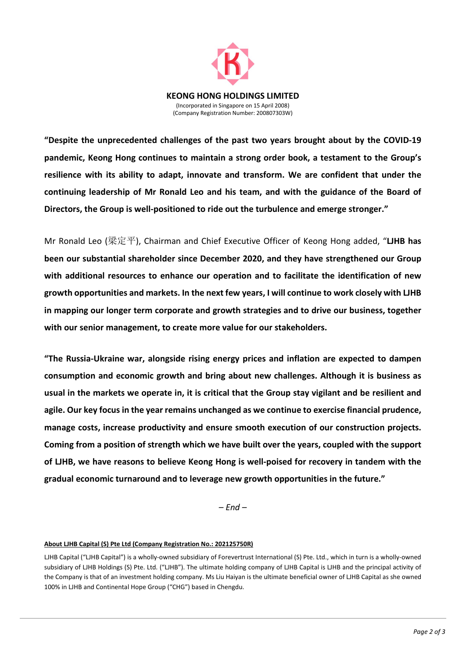

**"Despite the unprecedented challenges of the past two years brought about by the COVID-19 pandemic, Keong Hong continues to maintain a strong order book, a testament to the Group's resilience with its ability to adapt, innovate and transform. We are confident that under the continuing leadership of Mr Ronald Leo and his team, and with the guidance of the Board of Directors, the Group is well-positioned to ride out the turbulence and emerge stronger."**

Mr Ronald Leo (梁定平), Chairman and Chief Executive Officer of Keong Hong added, "**LJHB has been our substantial shareholder since December 2020, and they have strengthened our Group with additional resources to enhance our operation and to facilitate the identification of new growth opportunities and markets. In the next few years, I will continue to work closely with LJHB in mapping our longer term corporate and growth strategies and to drive our business, together with our senior management, to create more value for our stakeholders.**

**"The Russia-Ukraine war, alongside rising energy prices and inflation are expected to dampen consumption and economic growth and bring about new challenges. Although it is business as usual in the markets we operate in, it is critical that the Group stay vigilant and be resilient and agile. Our key focus in the year remains unchanged as we continue to exercise financial prudence, manage costs, increase productivity and ensure smooth execution of our construction projects. Coming from a position of strength which we have built over the years, coupled with the support of LJHB, we have reasons to believe Keong Hong is well-poised for recovery in tandem with the gradual economic turnaround and to leverage new growth opportunities in the future."**

*– End –*

## **About LJHB Capital (S) Pte Ltd (Company Registration No.: 202125750R)**

LJHB Capital ("LJHB Capital") is a wholly-owned subsidiary of Forevertrust International (S) Pte. Ltd., which in turn is a wholly-owned subsidiary of LJHB Holdings (S) Pte. Ltd. ("LJHB"). The ultimate holding company of LJHB Capital is LJHB and the principal activity of the Company is that of an investment holding company. Ms Liu Haiyan is the ultimate beneficial owner of LJHB Capital as she owned 100% in LJHB and Continental Hope Group ("CHG") based in Chengdu.